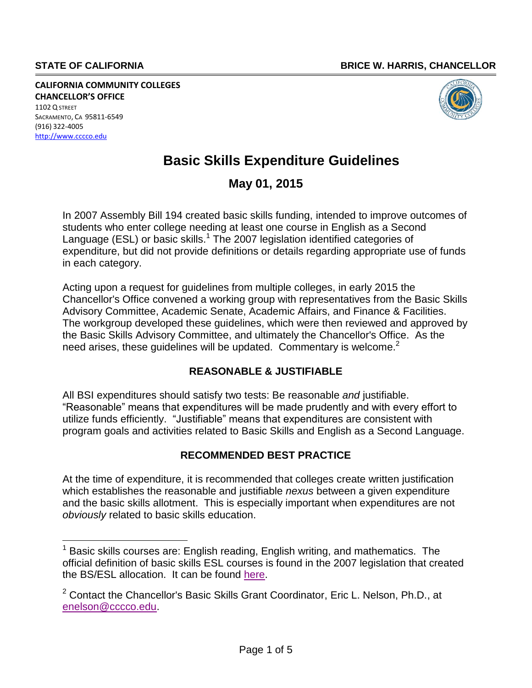**CALIFORNIA COMMUNITY COLLEGES CHANCELLOR'S OFFICE** 1102 Q STREET SACRAMENTO, CA 95811-6549 (916) 322-4005 [http://www.cccco.edu](http://www.cccco.edu/)



# **Basic Skills Expenditure Guidelines**

# **May 01, 2015**

In 2007 Assembly Bill 194 created basic skills funding, intended to improve outcomes of students who enter college needing at least one course in English as a Second Language (ESL) or basic skills.<sup>1</sup> [T](#page-0-0)he 2007 legislation identified categories of expenditure, but did not provide definitions or details regarding appropriate use of funds in each category.

<span id="page-0-0"></span>Acting upon a request for guidelines from multiple colleges, in early 2015 the Chancellor's Office convened a working group with representatives from the Basic Skills Advisory Committee, Academic Senate, Academic Affairs, and Finance & Facilities. The workgroup developed these guidelines, which were then reviewed and approved by the Basic Skills Advisory Committee, and ultimately the Chancellor's Of[fice](#page-0-0). As the need arises, these guidelines will be updated. Commentary is welcome. $2$ 

# **REASONABLE & JUSTIFIABLE**

All BSI expenditures should satisfy two tests: Be reasonable *and* justifiable. "Reasonable" means that expenditures will be made prudently and with every effort to utilize funds efficiently. "Justifiable" means that expenditures are consistent with program goals and activities related to Basic Skills and English as a Second Language.

# **RECOMMENDED BEST PRACTICE**

At the time of expenditure, it is recommended that colleges create written justification which establishes the reasonable and justifiable *nexus* between a given expenditure and the basic skills allotment. This is especially important when expenditures are not *obviously* related to basic skills education.

 $1$  Basic skills courses are: English reading, English writing, and mathematics. The official definition of basic skills ESL courses i[s fo](#page-0-0)und in the 2007 legislation that created the BS/ESL allocation. It can be found [here.](http://extranet.cccco.edu/Portals/1/AA/BasicSkills/2015/AB194_Ch489_2007s.pdf)

<sup>&</sup>lt;sup>2</sup> Contact the Chance[llor](#page-0-0)'s Basic Skills Grant Coordinator, Eric L. Nelson, Ph.D., at [enelson@cccco.edu.](mailto:enelson@cccco.edu)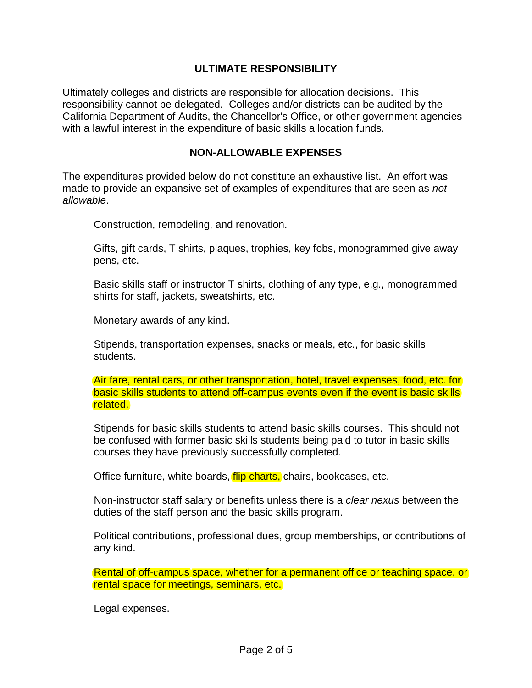#### **ULTIMATE RESPONSIBILITY**

Ultimately colleges and districts are responsible for allocation decisions. This responsibility cannot be delegated. Colleges and/or districts can be audited by the California Department of Audits, the Chancellor's Office, or other government agencies with a lawful interest in the expenditure of basic skills allocation funds.

#### **NON-ALLOWABLE EXPENSES**

The expenditures provided below do not constitute an exhaustive list. An effort was made to provide an expansive set of examples of expenditures that are seen as *not allowable*.

Construction, remodeling, and renovation.

Gifts, gift cards, T shirts, plaques, trophies, key fobs, monogrammed give away pens, etc.

Basic skills staff or instructor T shirts, clothing of any type, e.g., monogrammed shirts for staff, jackets, sweatshirts, etc.

Monetary awards of any kind.

Stipends, transportation expenses, snacks or meals, etc., for basic skills students.

Air fare, rental cars, or other transportation, hotel, travel expenses, food, etc. for basic skills students to attend off-campus events even if the event is basic skills related.

Stipends for basic skills students to attend basic skills courses. This should not be confused with former basic skills students being paid to tutor in basic skills courses they have previously successfully completed.

Office furniture, white boards, *flip charts*, chairs, bookcases, etc.

Non-instructor staff salary or benefits unless there is a *clear nexus* between the duties of the staff person and the basic skills program.

Political contributions, professional dues, group memberships, or contributions of any kind.

Rental of off-campus space, whether for a permanent office or teaching space, or rental space for meetings, seminars, etc.

Legal expenses.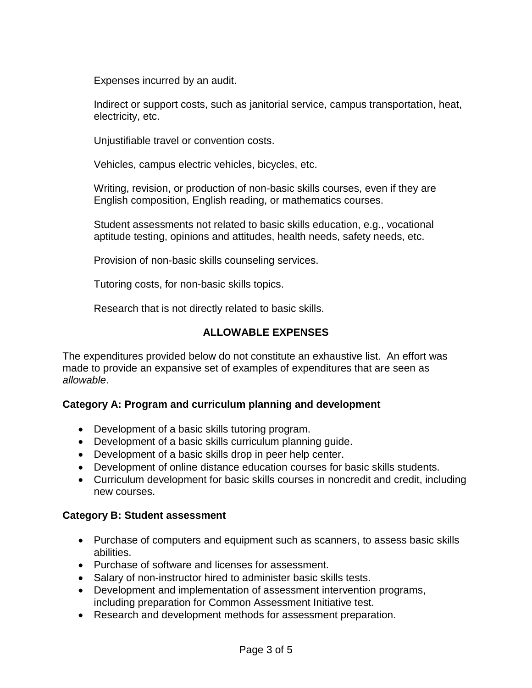Expenses incurred by an audit.

Indirect or support costs, such as janitorial service, campus transportation, heat, electricity, etc.

Unjustifiable travel or convention costs.

Vehicles, campus electric vehicles, bicycles, etc.

Writing, revision, or production of non-basic skills courses, even if they are English composition, English reading, or mathematics courses.

Student assessments not related to basic skills education, e.g., vocational aptitude testing, opinions and attitudes, health needs, safety needs, etc.

Provision of non-basic skills counseling services.

Tutoring costs, for non-basic skills topics.

Research that is not directly related to basic skills.

### **ALLOWABLE EXPENSES**

The expenditures provided below do not constitute an exhaustive list. An effort was made to provide an expansive set of examples of expenditures that are seen as *allowable*.

# **Category A: Program and curriculum planning and development**

- Development of a basic skills tutoring program.
- Development of a basic skills curriculum planning guide.
- Development of a basic skills drop in peer help center.
- Development of online distance education courses for basic skills students.
- Curriculum development for basic skills courses in noncredit and credit, including new courses.

#### **Category B: Student assessment**

- Purchase of computers and equipment such as scanners, to assess basic skills abilities.
- Purchase of software and licenses for assessment.
- Salary of non-instructor hired to administer basic skills tests.
- Development and implementation of assessment intervention programs, including preparation for Common Assessment Initiative test.
- Research and development methods for assessment preparation.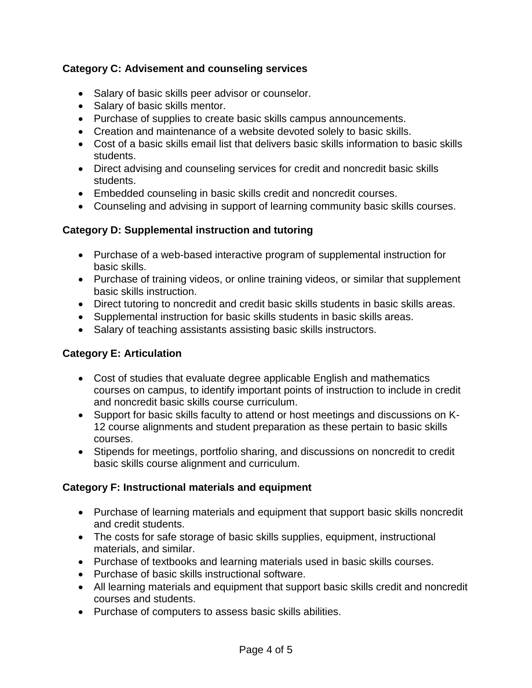# **Category C: Advisement and counseling services**

- Salary of basic skills peer advisor or counselor.
- Salary of basic skills mentor.
- Purchase of supplies to create basic skills campus announcements.
- Creation and maintenance of a website devoted solely to basic skills.
- Cost of a basic skills email list that delivers basic skills information to basic skills students.
- Direct advising and counseling services for credit and noncredit basic skills students.
- Embedded counseling in basic skills credit and noncredit courses.
- Counseling and advising in support of learning community basic skills courses.

### **Category D: Supplemental instruction and tutoring**

- Purchase of a web-based interactive program of supplemental instruction for basic skills.
- Purchase of training videos, or online training videos, or similar that supplement basic skills instruction.
- Direct tutoring to noncredit and credit basic skills students in basic skills areas.
- Supplemental instruction for basic skills students in basic skills areas.
- Salary of teaching assistants assisting basic skills instructors.

# **Category E: Articulation**

- Cost of studies that evaluate degree applicable English and mathematics courses on campus, to identify important points of instruction to include in credit and noncredit basic skills course curriculum.
- Support for basic skills faculty to attend or host meetings and discussions on K- 12 course alignments and student preparation as these pertain to basic skills courses.
- Stipends for meetings, portfolio sharing, and discussions on noncredit to credit basic skills course alignment and curriculum.

#### **Category F: Instructional materials and equipment**

- Purchase of learning materials and equipment that support basic skills noncredit and credit students.
- The costs for safe storage of basic skills supplies, equipment, instructional materials, and similar.
- Purchase of textbooks and learning materials used in basic skills courses.
- Purchase of basic skills instructional software.
- All learning materials and equipment that support basic skills credit and noncredit courses and students.
- Purchase of computers to assess basic skills abilities.